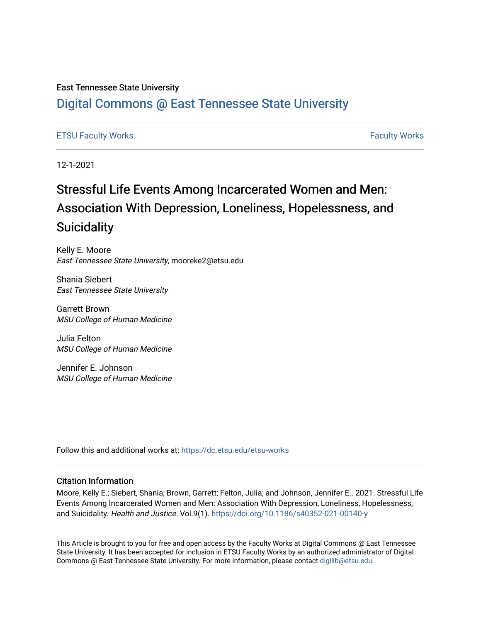### East Tennessee State University

## [Digital Commons @ East Tennessee State University](https://dc.etsu.edu/)

### [ETSU Faculty Works](https://dc.etsu.edu/etsu-works) [Faculty Works](https://dc.etsu.edu/faculty-works)

12-1-2021

## Stressful Life Events Among Incarcerated Women and Men: Association With Depression, Loneliness, Hopelessness, and **Suicidality**

Kelly E. Moore East Tennessee State University, mooreke2@etsu.edu

Shania Siebert East Tennessee State University

Garrett Brown MSU College of Human Medicine

Julia Felton MSU College of Human Medicine

Jennifer E. Johnson MSU College of Human Medicine

Follow this and additional works at: [https://dc.etsu.edu/etsu-works](https://dc.etsu.edu/etsu-works?utm_source=dc.etsu.edu%2Fetsu-works%2F9483&utm_medium=PDF&utm_campaign=PDFCoverPages) 

#### Citation Information

Moore, Kelly E.; Siebert, Shania; Brown, Garrett; Felton, Julia; and Johnson, Jennifer E.. 2021. Stressful Life Events Among Incarcerated Women and Men: Association With Depression, Loneliness, Hopelessness, and Suicidality. Health and Justice. Vol.9(1).<https://doi.org/10.1186/s40352-021-00140-y>

This Article is brought to you for free and open access by the Faculty Works at Digital Commons @ East Tennessee State University. It has been accepted for inclusion in ETSU Faculty Works by an authorized administrator of Digital Commons @ East Tennessee State University. For more information, please contact [digilib@etsu.edu.](mailto:digilib@etsu.edu)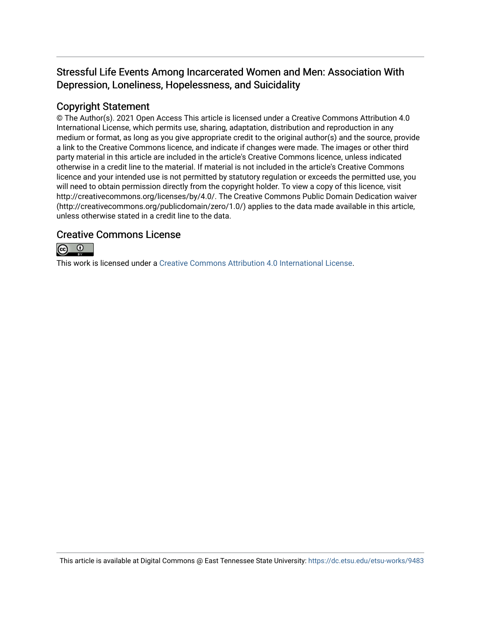## Stressful Life Events Among Incarcerated Women and Men: Association With Depression, Loneliness, Hopelessness, and Suicidality

## Copyright Statement

© The Author(s). 2021 Open Access This article is licensed under a Creative Commons Attribution 4.0 International License, which permits use, sharing, adaptation, distribution and reproduction in any medium or format, as long as you give appropriate credit to the original author(s) and the source, provide a link to the Creative Commons licence, and indicate if changes were made. The images or other third party material in this article are included in the article's Creative Commons licence, unless indicated otherwise in a credit line to the material. If material is not included in the article's Creative Commons licence and your intended use is not permitted by statutory regulation or exceeds the permitted use, you will need to obtain permission directly from the copyright holder. To view a copy of this licence, visit http://creativecommons.org/licenses/by/4.0/. The Creative Commons Public Domain Dedication waiver (http://creativecommons.org/publicdomain/zero/1.0/) applies to the data made available in this article, unless otherwise stated in a credit line to the data.

### Creative Commons License



This work is licensed under a [Creative Commons Attribution 4.0 International License.](https://creativecommons.org/licenses/by/4.0/)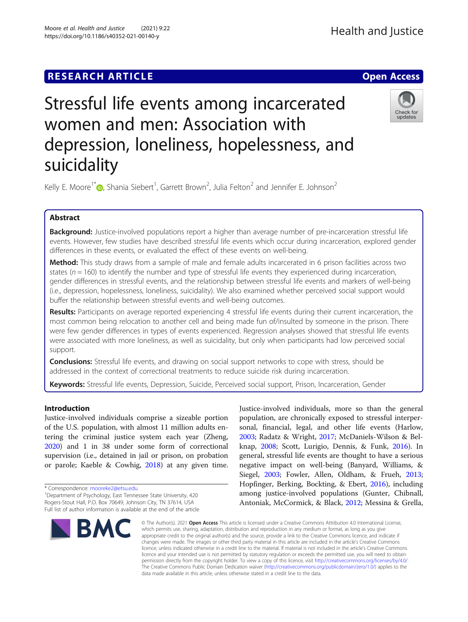## **RESEARCH ARTICLE Example 2014 12:30 The Contract of Contract ACCESS**

# Stressful life events among incarcerated women and men: Association with depression, loneliness, hopelessness, and suicidality

Kelly E. Moore<sup>1\*</sup> $\bullet$ , Shania Siebert<sup>1</sup>, Garrett Brown<sup>2</sup>, Julia Felton<sup>2</sup> and Jennifer E. Johnson<sup>2</sup>

#### Abstract

**Background:** Justice-involved populations report a higher than average number of pre-incarceration stressful life events. However, few studies have described stressful life events which occur during incarceration, explored gender differences in these events, or evaluated the effect of these events on well-being.

Method: This study draws from a sample of male and female adults incarcerated in 6 prison facilities across two states ( $n = 160$ ) to identify the number and type of stressful life events they experienced during incarceration, gender differences in stressful events, and the relationship between stressful life events and markers of well-being (i.e., depression, hopelessness, loneliness, suicidality). We also examined whether perceived social support would buffer the relationship between stressful events and well-being outcomes.

Results: Participants on average reported experiencing 4 stressful life events during their current incarceration, the most common being relocation to another cell and being made fun of/insulted by someone in the prison. There were few gender differences in types of events experienced. Regression analyses showed that stressful life events were associated with more loneliness, as well as suicidality, but only when participants had low perceived social support.

**Conclusions:** Stressful life events, and drawing on social support networks to cope with stress, should be addressed in the context of correctional treatments to reduce suicide risk during incarceration.

Keywords: Stressful life events, Depression, Suicide, Perceived social support, Prison, Incarceration, Gender

Introduction

Justice-involved individuals comprise a sizeable portion of the U.S. population, with almost 11 million adults entering the criminal justice system each year (Zheng, [2020](#page-16-0)) and 1 in 38 under some form of correctional supervision (i.e., detained in jail or prison, on probation or parole; Kaeble & Cowhig, [2018](#page-15-0)) at any given time.

Rogers-Stout Hall, P.O. Box 70649, Johnson City, TN 37614, USA Full list of author information is available at the end of the article

\* Correspondence: [mooreke2@etsu.edu](mailto:mooreke2@etsu.edu) <sup>1</sup> <sup>1</sup>Department of Psychology, East Tennessee State University, 420

**BMC** 

Justice-involved individuals, more so than the general population, are chronically exposed to stressful interpersonal, financial, legal, and other life events (Harlow, [2003](#page-14-0); Radatz & Wright, [2017;](#page-15-0) McDaniels-Wilson & Belknap, [2008;](#page-15-0) Scott, Lurigio, Dennis, & Funk, [2016](#page-15-0)). In general, stressful life events are thought to have a serious negative impact on well-being (Banyard, Williams, & Siegel, [2003](#page-14-0); Fowler, Allen, Oldham, & Frueh, [2013](#page-14-0); Hopfinger, Berking, Bockting, & Ebert, [2016](#page-15-0)), including among justice-involved populations (Gunter, Chibnall, Antoniak, McCormick, & Black, [2012](#page-14-0); Messina & Grella,

© The Author(s), 2021 **Open Access** This article is licensed under a Creative Commons Attribution 4.0 International License, which permits use, sharing, adaptation, distribution and reproduction in any medium or format, as long as you give appropriate credit to the original author(s) and the source, provide a link to the Creative Commons licence, and indicate if changes were made. The images or other third party material in this article are included in the article's Creative Commons licence, unless indicated otherwise in a credit line to the material. If material is not included in the article's Creative Commons licence and your intended use is not permitted by statutory regulation or exceeds the permitted use, you will need to obtain permission directly from the copyright holder. To view a copy of this licence, visit [http://creativecommons.org/licenses/by/4.0/.](http://creativecommons.org/licenses/by/4.0/) The Creative Commons Public Domain Dedication waiver [\(http://creativecommons.org/publicdomain/zero/1.0/](http://creativecommons.org/publicdomain/zero/1.0/)) applies to the data made available in this article, unless otherwise stated in a credit line to the data.



Check for updates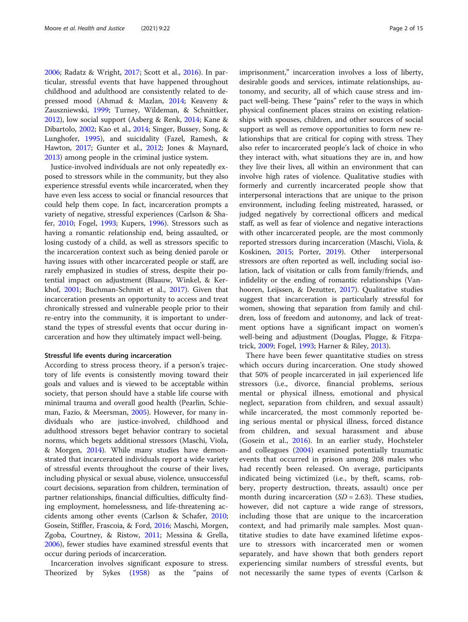[2006](#page-15-0); Radatz & Wright, [2017;](#page-15-0) Scott et al., [2016\)](#page-15-0). In particular, stressful events that have happened throughout childhood and adulthood are consistently related to depressed mood (Ahmad & Mazlan, [2014;](#page-14-0) Keaveny & Zauszniewski, [1999](#page-15-0); Turney, Wildeman, & Schnittker, [2012](#page-15-0)), low social support (Asberg & Renk, [2014](#page-14-0); Kane & Dibartolo, [2002](#page-15-0); Kao et al., [2014](#page-15-0); Singer, Bussey, Song, & Lunghofer, [1995\)](#page-15-0), and suicidality (Fazel, Ramesh, & Hawton, [2017;](#page-14-0) Gunter et al., [2012;](#page-14-0) Jones & Maynard, [2013](#page-15-0)) among people in the criminal justice system.

Justice-involved individuals are not only repeatedly exposed to stressors while in the community, but they also experience stressful events while incarcerated, when they have even less access to social or financial resources that could help them cope. In fact, incarceration prompts a variety of negative, stressful experiences (Carlson & Shafer, [2010;](#page-14-0) Fogel, [1993;](#page-14-0) Kupers, [1996](#page-15-0)). Stressors such as having a romantic relationship end, being assaulted, or losing custody of a child, as well as stressors specific to the incarceration context such as being denied parole or having issues with other incarcerated people or staff, are rarely emphasized in studies of stress, despite their potential impact on adjustment (Blaauw, Winkel, & Kerkhof, [2001](#page-14-0); Buchman-Schmitt et al., [2017](#page-14-0)). Given that incarceration presents an opportunity to access and treat chronically stressed and vulnerable people prior to their re-entry into the community, it is important to understand the types of stressful events that occur during incarceration and how they ultimately impact well-being.

#### Stressful life events during incarceration

According to stress process theory, if a person's trajectory of life events is consistently moving toward their goals and values and is viewed to be acceptable within society, that person should have a stable life course with minimal trauma and overall good health (Pearlin, Schieman, Fazio, & Meersman, [2005\)](#page-15-0). However, for many individuals who are justice-involved, childhood and adulthood stressors beget behavior contrary to societal norms, which begets additional stressors (Maschi, Viola, & Morgen, [2014\)](#page-15-0). While many studies have demonstrated that incarcerated individuals report a wide variety of stressful events throughout the course of their lives, including physical or sexual abuse, violence, unsuccessful court decisions, separation from children, termination of partner relationships, financial difficulties, difficulty finding employment, homelessness, and life-threatening accidents among other events (Carlson & Schafer, [2010](#page-14-0); Gosein, Stiffler, Frascoia, & Ford, [2016;](#page-14-0) Maschi, Morgen, Zgoba, Courtney, & Ristow, [2011;](#page-15-0) Messina & Grella, [2006](#page-15-0)), fewer studies have examined stressful events that occur during periods of incarceration.

Incarceration involves significant exposure to stress. Theorized by Sykes ([1958](#page-15-0)) as the "pains of imprisonment," incarceration involves a loss of liberty, desirable goods and services, intimate relationships, autonomy, and security, all of which cause stress and impact well-being. These "pains" refer to the ways in which physical confinement places strains on existing relationships with spouses, children, and other sources of social support as well as remove opportunities to form new relationships that are critical for coping with stress. They also refer to incarcerated people's lack of choice in who they interact with, what situations they are in, and how they live their lives, all within an environment that can involve high rates of violence. Qualitative studies with formerly and currently incarcerated people show that interpersonal interactions that are unique to the prison environment, including feeling mistreated, harassed, or judged negatively by correctional officers and medical staff, as well as fear of violence and negative interactions with other incarcerated people, are the most commonly reported stressors during incarceration (Maschi, Viola, & Koskinen, [2015;](#page-15-0) Porter, [2019\)](#page-15-0). Other interpersonal stressors are often reported as well, including social isolation, lack of visitation or calls from family/friends, and infidelity or the ending of romantic relationships (Vanhooren, Leijssen, & Dezutter, [2017\)](#page-16-0). Qualitative studies suggest that incarceration is particularly stressful for women, showing that separation from family and children, loss of freedom and autonomy, and lack of treatment options have a significant impact on women's well-being and adjustment (Douglas, Plugge, & Fitzpatrick, [2009](#page-14-0); Fogel, [1993;](#page-14-0) Harner & Riley, [2013\)](#page-15-0).

There have been fewer quantitative studies on stress which occurs during incarceration. One study showed that 50% of people incarcerated in jail experienced life stressors (i.e., divorce, financial problems, serious mental or physical illness, emotional and physical neglect, separation from children, and sexual assault) while incarcerated, the most commonly reported being serious mental or physical illness, forced distance from children, and sexual harassment and abuse (Gosein et al., [2016](#page-14-0)). In an earlier study, Hochsteler and colleagues ([2004\)](#page-15-0) examined potentially traumatic events that occurred in prison among 208 males who had recently been released. On average, participants indicated being victimized (i.e., by theft, scams, robbery, property destruction, threats, assault) once per month during incarceration  $(SD = 2.63)$ . These studies, however, did not capture a wide range of stressors, including those that are unique to the incarceration context, and had primarily male samples. Most quantitative studies to date have examined lifetime exposure to stressors with incarcerated men or women separately, and have shown that both genders report experiencing similar numbers of stressful events, but not necessarily the same types of events (Carlson &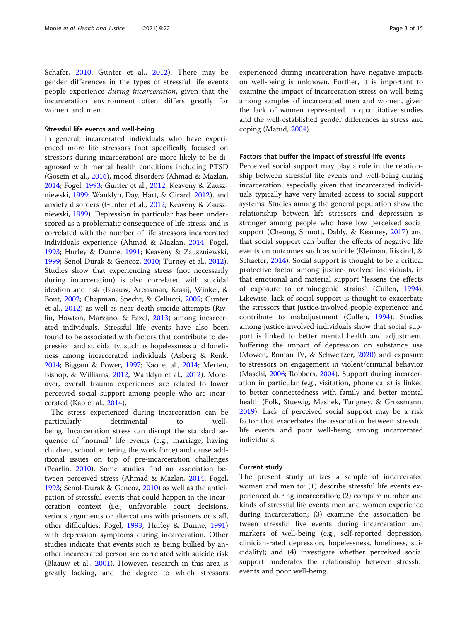Schafer, [2010](#page-14-0); Gunter et al., [2012\)](#page-14-0). There may be gender differences in the types of stressful life events people experience during incarceration, given that the incarceration environment often differs greatly for women and men.

#### Stressful life events and well-being

In general, incarcerated individuals who have experienced more life stressors (not specifically focused on stressors during incarceration) are more likely to be diagnosed with mental health conditions including PTSD (Gosein et al., [2016](#page-14-0)), mood disorders (Ahmad & Mazlan, [2014](#page-14-0); Fogel, [1993](#page-14-0); Gunter et al., [2012](#page-14-0); Keaveny & Zauszniewski, [1999](#page-15-0); Wanklyn, Day, Hart, & Girard, [2012](#page-16-0)), and anxiety disorders (Gunter et al., [2012](#page-14-0); Keaveny & Zauszniewski, [1999](#page-15-0)). Depression in particular has been underscored as a problematic consequence of life stress, and is correlated with the number of life stressors incarcerated individuals experience (Ahmad & Mazlan, [2014;](#page-14-0) Fogel, [1993](#page-14-0); Hurley & Dunne, [1991;](#page-15-0) Keaveny & Zauszniewski, [1999](#page-15-0); Senol-Durak & Gencoz, [2010](#page-15-0); Turney et al., [2012](#page-15-0)). Studies show that experiencing stress (not necessarily during incarceration) is also correlated with suicidal ideation and risk (Blaauw, Arensman, Kraaij, Winkel, & Bout, [2002;](#page-14-0) Chapman, Specht, & Cellucci, [2005](#page-14-0); Gunter et al., [2012](#page-14-0)) as well as near-death suicide attempts (Rivlin, Hawton, Marzano, & Fazel, [2013](#page-15-0)) among incarcerated individuals. Stressful life events have also been found to be associated with factors that contribute to depression and suicidality, such as hopelessness and loneliness among incarcerated individuals (Asberg & Renk, [2014](#page-14-0); Biggam & Power, [1997](#page-14-0); Kao et al., [2014](#page-15-0); Merten, Bishop, & Williams, [2012](#page-15-0); Wanklyn et al., [2012\)](#page-16-0). Moreover, overall trauma experiences are related to lower perceived social support among people who are incarcerated (Kao et al., [2014\)](#page-15-0).

The stress experienced during incarceration can be particularly detrimental to wellbeing. Incarceration stress can disrupt the standard sequence of "normal" life events (e.g., marriage, having children, school, entering the work force) and cause additional issues on top of pre-incarceration challenges (Pearlin, [2010\)](#page-15-0). Some studies find an association between perceived stress (Ahmad & Mazlan, [2014](#page-14-0); Fogel, [1993](#page-14-0); Senol-Durak & Gencoz, [2010](#page-15-0)) as well as the anticipation of stressful events that could happen in the incarceration context (i.e., unfavorable court decisions, serious arguments or altercations with prisoners or staff, other difficulties; Fogel, [1993](#page-14-0); Hurley & Dunne, [1991](#page-15-0)) with depression symptoms during incarceration. Other studies indicate that events such as being bullied by another incarcerated person are correlated with suicide risk (Blaauw et al., [2001\)](#page-14-0). However, research in this area is greatly lacking, and the degree to which stressors experienced during incarceration have negative impacts on well-being is unknown. Further, it is important to examine the impact of incarceration stress on well-being among samples of incarcerated men and women, given the lack of women represented in quantitative studies and the well-established gender differences in stress and coping (Matud, [2004](#page-15-0)).

#### Factors that buffer the impact of stressful life events

Perceived social support may play a role in the relationship between stressful life events and well-being during incarceration, especially given that incarcerated individuals typically have very limited access to social support systems. Studies among the general population show the relationship between life stressors and depression is stronger among people who have low perceived social support (Cheong, Sinnott, Dahly, & Kearney, [2017\)](#page-14-0) and that social support can buffer the effects of negative life events on outcomes such as suicide (Kleiman, Riskind, & Schaefer, [2014](#page-15-0)). Social support is thought to be a critical protective factor among justice-involved individuals, in that emotional and material support "lessens the effects of exposure to criminogenic strains" (Cullen, [1994](#page-14-0)). Likewise, lack of social support is thought to exacerbate the stressors that justice-involved people experience and contribute to maladjustment (Cullen, [1994\)](#page-14-0). Studies among justice-involved individuals show that social support is linked to better mental health and adjustment, buffering the impact of depression on substance use (Mowen, Boman IV, & Schweitzer, [2020](#page-15-0)) and exposure to stressors on engagement in violent/criminal behavior (Maschi, [2006;](#page-15-0) Robbers, [2004\)](#page-15-0). Support during incarceration in particular (e.g., visitation, phone calls) is linked to better connectedness with family and better mental health (Folk, Stuewig, Mashek, Tangney, & Grossmann, [2019](#page-14-0)). Lack of perceived social support may be a risk factor that exacerbates the association between stressful life events and poor well-being among incarcerated individuals.

#### Current study

The present study utilizes a sample of incarcerated women and men to: (1) describe stressful life events experienced during incarceration; (2) compare number and kinds of stressful life events men and women experience during incarceration; (3) examine the association between stressful live events during incarceration and markers of well-being (e.g., self-reported depression, clinician-rated depression, hopelessness, loneliness, suicidality); and (4) investigate whether perceived social support moderates the relationship between stressful events and poor well-being.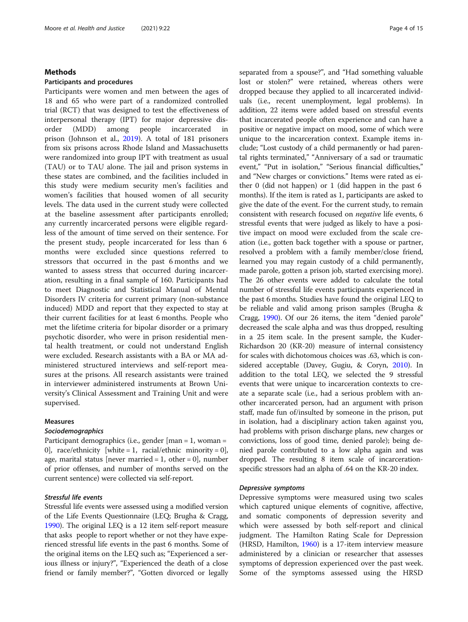#### Methods

#### Participants and procedures

Participants were women and men between the ages of 18 and 65 who were part of a randomized controlled trial (RCT) that was designed to test the effectiveness of interpersonal therapy (IPT) for major depressive disorder (MDD) among people incarcerated in prison (Johnson et al., [2019](#page-15-0)). A total of 181 prisoners from six prisons across Rhode Island and Massachusetts were randomized into group IPT with treatment as usual (TAU) or to TAU alone. The jail and prison systems in these states are combined, and the facilities included in this study were medium security men's facilities and women's facilities that housed women of all security levels. The data used in the current study were collected at the baseline assessment after participants enrolled; any currently incarcerated persons were eligible regardless of the amount of time served on their sentence. For the present study, people incarcerated for less than 6 months were excluded since questions referred to stressors that occurred in the past 6 months and we wanted to assess stress that occurred during incarceration, resulting in a final sample of 160. Participants had to meet Diagnostic and Statistical Manual of Mental Disorders IV criteria for current primary (non-substance induced) MDD and report that they expected to stay at their current facilities for at least 6 months. People who met the lifetime criteria for bipolar disorder or a primary psychotic disorder, who were in prison residential mental health treatment, or could not understand English were excluded. Research assistants with a BA or MA administered structured interviews and self-report measures at the prisons. All research assistants were trained in interviewer administered instruments at Brown University's Clinical Assessment and Training Unit and were supervised.

#### Measures

#### Sociodemographics

Participant demographics (i.e., gender [man = 1, woman = 0], race/ethnicity [white = 1, racial/ethnic minority = 0], age, marital status [never married  $= 1$ , other  $= 0$ ], number of prior offenses, and number of months served on the current sentence) were collected via self-report.

#### Stressful life events

Stressful life events were assessed using a modified version of the Life Events Questionnaire (LEQ; Brugha & Cragg, [1990\)](#page-14-0). The original LEQ is a 12 item self-report measure that asks people to report whether or not they have experienced stressful life events in the past 6 months. Some of the original items on the LEQ such as; "Experienced a serious illness or injury?", "Experienced the death of a close friend or family member?", "Gotten divorced or legally separated from a spouse?", and "Had something valuable lost or stolen?" were retained, whereas others were dropped because they applied to all incarcerated individuals (i.e., recent unemployment, legal problems). In addition, 22 items were added based on stressful events that incarcerated people often experience and can have a positive or negative impact on mood, some of which were unique to the incarceration context. Example items include; "Lost custody of a child permanently or had parental rights terminated," "Anniversary of a sad or traumatic event," "Put in isolation," "Serious financial difficulties," and "New charges or convictions." Items were rated as either 0 (did not happen) or 1 (did happen in the past 6 months). If the item is rated as 1, participants are asked to give the date of the event. For the current study, to remain consistent with research focused on negative life events, 6 stressful events that were judged as likely to have a positive impact on mood were excluded from the scale creation (i.e., gotten back together with a spouse or partner, resolved a problem with a family member/close friend, learned you may regain custody of a child permanently, made parole, gotten a prison job, started exercising more). The 26 other events were added to calculate the total number of stressful life events participants experienced in the past 6 months. Studies have found the original LEQ to be reliable and valid among prison samples (Brugha & Cragg, [1990\)](#page-14-0). Of our 26 items, the item "denied parole" decreased the scale alpha and was thus dropped, resulting in a 25 item scale. In the present sample, the Kuder-Richardson 20 (KR-20) measure of internal consistency for scales with dichotomous choices was .63, which is considered acceptable (Davey, Gugiu, & Coryn, [2010](#page-14-0)). In addition to the total LEQ, we selected the 9 stressful events that were unique to incarceration contexts to create a separate scale (i.e., had a serious problem with another incarcerated person, had an argument with prison staff, made fun of/insulted by someone in the prison, put in isolation, had a disciplinary action taken against you, had problems with prison discharge plans, new charges or convictions, loss of good time, denied parole); being denied parole contributed to a low alpha again and was dropped. The resulting 8 item scale of incarcerationspecific stressors had an alpha of .64 on the KR-20 index.

#### Depressive symptoms

Depressive symptoms were measured using two scales which captured unique elements of cognitive, affective, and somatic components of depression severity and which were assessed by both self-report and clinical judgment. The Hamilton Rating Scale for Depression (HRSD, Hamilton, [1960\)](#page-14-0) is a 17-item interview measure administered by a clinician or researcher that assesses symptoms of depression experienced over the past week. Some of the symptoms assessed using the HRSD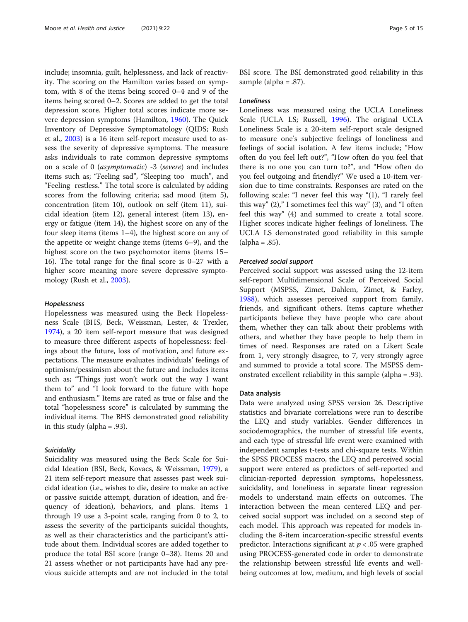include; insomnia, guilt, helplessness, and lack of reactivity. The scoring on the Hamilton varies based on symptom, with 8 of the items being scored 0–4 and 9 of the items being scored 0–2. Scores are added to get the total depression score. Higher total scores indicate more severe depression symptoms (Hamilton, [1960](#page-14-0)). The Quick Inventory of Depressive Symptomatology (QIDS; Rush et al., [2003](#page-15-0)) is a 16 item self-report measure used to assess the severity of depressive symptoms. The measure asks individuals to rate common depressive symptoms on a scale of 0 (asymptomatic) -3 (severe) and includes items such as; "Feeling sad", "Sleeping too much", and "Feeling restless." The total score is calculated by adding scores from the following criteria; sad mood (item 5), concentration (item 10), outlook on self (item 11), suicidal ideation (item 12), general interest (item 13), energy or fatigue (item 14), the highest score on any of the four sleep items (items 1–4), the highest score on any of the appetite or weight change items (items 6–9), and the highest score on the two psychomotor items (items 15– 16). The total range for the final score is 0–27 with a higher score meaning more severe depressive symptomology (Rush et al., [2003\)](#page-15-0).

#### Hopelessness

Hopelessness was measured using the Beck Hopelessness Scale (BHS, Beck, Weissman, Lester, & Trexler, [1974](#page-14-0)), a 20 item self-report measure that was designed to measure three different aspects of hopelessness: feelings about the future, loss of motivation, and future expectations. The measure evaluates individuals' feelings of optimism/pessimism about the future and includes items such as; "Things just won't work out the way I want them to" and "I look forward to the future with hope and enthusiasm." Items are rated as true or false and the total "hopelessness score" is calculated by summing the individual items. The BHS demonstrated good reliability in this study (alpha = .93).

#### **Suicidality**

Suicidality was measured using the Beck Scale for Suicidal Ideation (BSI, Beck, Kovacs, & Weissman, [1979](#page-14-0)), a 21 item self-report measure that assesses past week suicidal ideation (i.e., wishes to die, desire to make an active or passive suicide attempt, duration of ideation, and frequency of ideation), behaviors, and plans. Items 1 through 19 use a 3-point scale, ranging from 0 to 2, to assess the severity of the participants suicidal thoughts, as well as their characteristics and the participant's attitude about them. Individual scores are added together to produce the total BSI score (range 0–38). Items 20 and 21 assess whether or not participants have had any previous suicide attempts and are not included in the total

BSI score. The BSI demonstrated good reliability in this sample (alpha = .87).

#### **Loneliness**

Loneliness was measured using the UCLA Loneliness Scale (UCLA LS; Russell, [1996\)](#page-15-0). The original UCLA Loneliness Scale is a 20-item self-report scale designed to measure one's subjective feelings of loneliness and feelings of social isolation. A few items include; "How often do you feel left out?", "How often do you feel that there is no one you can turn to?", and "How often do you feel outgoing and friendly?" We used a 10-item version due to time constraints. Responses are rated on the following scale: "I never feel this way "(1), "I rarely feel this way" (2)," I sometimes feel this way" (3), and "I often feel this way" (4) and summed to create a total score. Higher scores indicate higher feelings of loneliness. The UCLA LS demonstrated good reliability in this sample  $(alpha = .85).$ 

#### Perceived social support

Perceived social support was assessed using the 12-item self-report Multidimensional Scale of Perceived Social Support (MSPSS, Zimet, Dahlem, Zimet, & Farley, [1988](#page-16-0)), which assesses perceived support from family, friends, and significant others. Items capture whether participants believe they have people who care about them, whether they can talk about their problems with others, and whether they have people to help them in times of need. Responses are rated on a Likert Scale from 1, very strongly disagree, to 7, very strongly agree and summed to provide a total score. The MSPSS demonstrated excellent reliability in this sample (alpha = .93).

#### Data analysis

Data were analyzed using SPSS version 26. Descriptive statistics and bivariate correlations were run to describe the LEQ and study variables. Gender differences in sociodemographics, the number of stressful life events, and each type of stressful life event were examined with independent samples t-tests and chi-square tests. Within the SPSS PROCESS macro, the LEQ and perceived social support were entered as predictors of self-reported and clinician-reported depression symptoms, hopelessness, suicidality, and loneliness in separate linear regression models to understand main effects on outcomes. The interaction between the mean centered LEQ and perceived social support was included on a second step of each model. This approach was repeated for models including the 8-item incarceration-specific stressful events predictor. Interactions significant at  $p < .05$  were graphed using PROCESS-generated code in order to demonstrate the relationship between stressful life events and wellbeing outcomes at low, medium, and high levels of social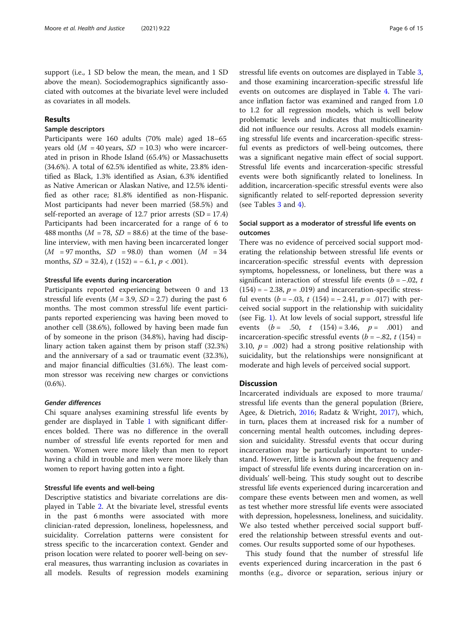support (i.e., 1 SD below the mean, the mean, and 1 SD above the mean). Sociodemographics significantly associated with outcomes at the bivariate level were included as covariates in all models.

#### Results

#### Sample descriptors

Participants were 160 adults (70% male) aged 18–65 years old  $(M = 40 \text{ years}, SD = 10.3)$  who were incarcerated in prison in Rhode Island (65.4%) or Massachusetts (34.6%). A total of 62.5% identified as white, 23.8% identified as Black, 1.3% identified as Asian, 6.3% identified as Native American or Alaskan Native, and 12.5% identified as other race; 81.8% identified as non-Hispanic. Most participants had never been married (58.5%) and self-reported an average of 12.7 prior arrests (SD = 17.4) Participants had been incarcerated for a range of 6 to 488 months ( $M = 78$ ,  $SD = 88.6$ ) at the time of the baseline interview, with men having been incarcerated longer  $(M = 97$  months,  $SD = 98.0$ ) than women  $(M = 34$ months,  $SD = 32.4$ ),  $t(152) = -6.1, p < .001$ ).

#### Stressful life events during incarceration

Participants reported experiencing between 0 and 13 stressful life events ( $M = 3.9$ ,  $SD = 2.7$ ) during the past 6 months. The most common stressful life event participants reported experiencing was having been moved to another cell (38.6%), followed by having been made fun of by someone in the prison (34.8%), having had disciplinary action taken against them by prison staff (32.3%) and the anniversary of a sad or traumatic event (32.3%), and major financial difficulties (31.6%). The least common stressor was receiving new charges or convictions  $(0.6\%)$ .

#### Gender differences

Chi square analyses examining stressful life events by gender are displayed in Table [1](#page-8-0) with significant differences bolded. There was no difference in the overall number of stressful life events reported for men and women. Women were more likely than men to report having a child in trouble and men were more likely than women to report having gotten into a fight.

#### Stressful life events and well-being

Descriptive statistics and bivariate correlations are displayed in Table [2.](#page-9-0) At the bivariate level, stressful events in the past 6 months were associated with more clinician-rated depression, loneliness, hopelessness, and suicidality. Correlation patterns were consistent for stress specific to the incarceration context. Gender and prison location were related to poorer well-being on several measures, thus warranting inclusion as covariates in all models. Results of regression models examining stressful life events on outcomes are displayed in Table [3](#page-10-0), and those examining incarceration-specific stressful life events on outcomes are displayed in Table [4.](#page-11-0) The variance inflation factor was examined and ranged from 1.0 to 1.2 for all regression models, which is well below problematic levels and indicates that multicollinearity did not influence our results. Across all models examining stressful life events and incarceration-specific stressful events as predictors of well-being outcomes, there was a significant negative main effect of social support. Stressful life events and incarceration-specific stressful events were both significantly related to loneliness. In addition, incarceration-specific stressful events were also significantly related to self-reported depression severity (see Tables [3](#page-10-0) and [4\)](#page-11-0).

#### Social support as a moderator of stressful life events on outcomes

There was no evidence of perceived social support moderating the relationship between stressful life events or incarceration-specific stressful events with depression symptoms, hopelessness, or loneliness, but there was a significant interaction of stressful life events ( $b = -0.02$ , t  $(154) = -2.38$ ,  $p = .019$ ) and incarceration-specific stressful events ( $b = -.03$ ,  $t(154) = -2.41$ ,  $p = .017$ ) with perceived social support in the relationship with suicidality (see Fig. [1](#page-12-0)). At low levels of social support, stressful life events  $(b = .50, t (154) = 3.46, p = .001)$  and incarceration-specific stressful events  $(b = -.82, t (154))$ 3.10,  $p = .002$ ) had a strong positive relationship with suicidality, but the relationships were nonsignificant at moderate and high levels of perceived social support.

#### **Discussion**

Incarcerated individuals are exposed to more trauma/ stressful life events than the general population (Briere, Agee, & Dietrich, [2016](#page-14-0); Radatz & Wright, [2017](#page-15-0)), which, in turn, places them at increased risk for a number of concerning mental health outcomes, including depression and suicidality. Stressful events that occur during incarceration may be particularly important to understand. However, little is known about the frequency and impact of stressful life events during incarceration on individuals' well-being. This study sought out to describe stressful life events experienced during incarceration and compare these events between men and women, as well as test whether more stressful life events were associated with depression, hopelessness, loneliness, and suicidality. We also tested whether perceived social support buffered the relationship between stressful events and outcomes. Our results supported some of our hypotheses.

This study found that the number of stressful life events experienced during incarceration in the past 6 months (e.g., divorce or separation, serious injury or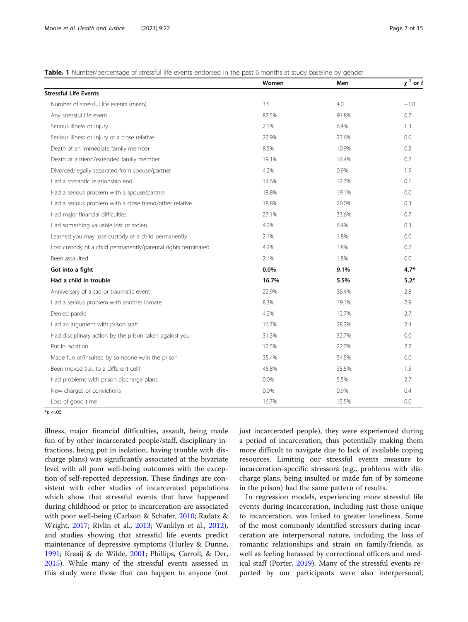#### <span id="page-8-0"></span>Table. 1 Number/percentage of stressful life events endorsed in the past 6 months at study baseline by gender

|                                                                | Women | Men   | $x^2$ or t |
|----------------------------------------------------------------|-------|-------|------------|
| <b>Stressful Life Events</b>                                   |       |       |            |
| Number of stressful life events (mean)                         | 3.5   | 4.0   | $-1.0$     |
| Any stressful life event                                       | 87.5% | 91.8% | 0.7        |
| Serious illness or injury                                      | 2.1%  | 6.4%  | 1.3        |
| Serious illness or injury of a close relative                  | 22.9% | 23.6% | 0.0        |
| Death of an immediate family member                            | 8.5%  | 10.9% | 0.2        |
| Death of a friend/extended family member                       | 19.1% | 16.4% | 0.2        |
| Divorced/legally separated from spouse/partner                 | 4.2%  | 0.9%  | 1.9        |
| Had a romantic relationship end                                | 14.6% | 12.7% | 0.1        |
| Had a serious problem with a spouse/partner                    | 18.8% | 19.1% | 0.0        |
| Had a serious problem with a close friend/other relative       | 18.8% | 20.0% | 0.3        |
| Had major financial difficulties                               | 27.1% | 33.6% | 0.7        |
| Had something valuable lost or stolen                          | 4.2%  | 6.4%  | 0.3        |
| Learned you may lose custody of a child permanently            | 2.1%  | 1.8%  | 0.0        |
| Lost custody of a child permanently/parental rights terminated | 4.2%  | 1.8%  | 0.7        |
| Been assaulted                                                 | 2.1%  | 1.8%  | 0.0        |
| Got into a fight                                               | 0.0%  | 9.1%  | $4.7*$     |
| Had a child in trouble                                         | 16.7% | 5.5%  | $5.2*$     |
| Anniversary of a sad or traumatic event                        | 22.9% | 36.4% | 2.8        |
| Had a serious problem with another inmate                      | 8.3%  | 19.1% | 2.9        |
| Denied parole                                                  | 4.2%  | 12.7% | 2.7        |
| Had an argument with prison staff                              | 16.7% | 28.2% | 2.4        |
| Had disciplinary action by the prison taken against you        | 31.3% | 32.7% | 0.0        |
| Put in isolation                                               | 12.5% | 22.7% | 2.2        |
| Made fun of/insulted by someone w/in the prison                | 35.4% | 34.5% | 0.0        |
| Been moved (i.e., to a different cell)                         | 45.8% | 35.5% | 1.5        |
| Had problems with prison discharge plans                       | 0.0%  | 5.5%  | 2.7        |
| New charges or convictions                                     | 0.0%  | 0.9%  | 0.4        |
| Loss of good time                                              | 16.7% | 15.5% | 0.0        |

 $*p < .05$ 

illness, major financial difficulties, assault, being made fun of by other incarcerated people/staff, disciplinary infractions, being put in isolation, having trouble with discharge plans) was significantly associated at the bivariate level with all poor well-being outcomes with the exception of self-reported depression. These findings are consistent with other studies of incarcerated populations which show that stressful events that have happened during childhood or prior to incarceration are associated with poor well-being (Carlson & Schafer, [2010;](#page-14-0) Radatz & Wright, [2017;](#page-15-0) Rivlin et al., [2013;](#page-15-0) Wanklyn et al., [2012](#page-16-0)), and studies showing that stressful life events predict maintenance of depressive symptoms (Hurley & Dunne, [1991](#page-15-0); Kraaij & de Wilde, [2001](#page-15-0); Phillips, Carroll, & Der, [2015](#page-15-0)). While many of the stressful events assessed in this study were those that can happen to anyone (not just incarcerated people), they were experienced during a period of incarceration, thus potentially making them more difficult to navigate due to lack of available coping resources. Limiting our stressful events measure to incarceration-specific stressors (e.g., problems with discharge plans, being insulted or made fun of by someone in the prison) had the same pattern of results.

In regression models, experiencing more stressful life events during incarceration, including just those unique to incarceration, was linked to greater loneliness. Some of the most commonly identified stressors during incarceration are interpersonal nature, including the loss of romantic relationships and strain on family/friends, as well as feeling harassed by correctional officers and medical staff (Porter, [2019\)](#page-15-0). Many of the stressful events reported by our participants were also interpersonal,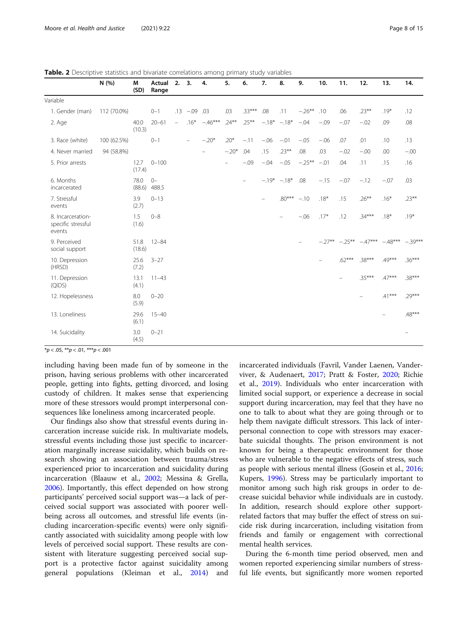<span id="page-9-0"></span>

| <b>Table. 2</b> Descriptive statistics and bivariate correlations among primary study variables |           |                                                     |  |  |  |  |  |  |  |
|-------------------------------------------------------------------------------------------------|-----------|-----------------------------------------------------|--|--|--|--|--|--|--|
| N(96)                                                                                           | M<br>וח>ו | Actual 2. 3. 4. 5. 6. 7. 8. 9. 10. 11. 12.<br>Range |  |  |  |  |  |  |  |

|                                                   | IN (%)      | <b>IVI</b><br>(SD) | Actual<br>Range | Z. 5.    |                          | 4.       | э.       | ο.                       | $\overline{\phantom{a}}$ | õ.                | .ע            | ιv.     | .        | 12.                        | 15.      | 14.                      |
|---------------------------------------------------|-------------|--------------------|-----------------|----------|--------------------------|----------|----------|--------------------------|--------------------------|-------------------|---------------|---------|----------|----------------------------|----------|--------------------------|
| Variable                                          |             |                    |                 |          |                          |          |          |                          |                          |                   |               |         |          |                            |          |                          |
| 1. Gender (man)                                   | 112 (70.0%) |                    | $0 - 1$         |          | $.13 - .09$              | .03      | .03      | $.33***$                 | .08                      | .11               | $-.26***$ .10 |         | .06      | $.23***$                   | $.19*$   | .12                      |
| 2. Age                                            |             | 40.0<br>(10.3)     | $20 - 61$       | $\equiv$ | $.16*$                   | $-46***$ | $.24***$ | $.25***$                 |                          | $-.18$ * $-.18$ * | $-.04$        | $-.09$  | $-.07$   | $-.02$                     | .09      | .08                      |
| 3. Race (white)                                   | 100 (62.5%) |                    | $0 - 1$         |          | $\overline{\phantom{a}}$ | $-.20*$  | $.20*$   | $-.11$                   | $-.06$                   | $-.01$            | $-.05$        | $-.06$  | .07      | .01                        | .10      | .13                      |
| 4. Never married                                  | 94 (58.8%)  |                    |                 |          |                          | $\equiv$ | $-.20*$  | .04                      | .15                      | $.23***$          | .08           | .03     | $-.02$   | $-.00$                     | .00      | $-.00$                   |
| 5. Prior arrests                                  |             | 12.7<br>(17.4)     | $0 - 100$       |          |                          |          | $\equiv$ | $-0.09$                  | $-.04$                   | $-.05$            | $-25**$       | $-.01$  | .04      | .11                        | .15      | .16                      |
| 6. Months<br>incarcerated                         |             | 78.0<br>(88.6)     | $() -$<br>488.5 |          |                          |          |          | $\overline{\phantom{m}}$ |                          | $-.19* -18*$      | .08           | $-.15$  | $-.07$   | $-.12$                     | $-.07$   | .03                      |
| 7. Stressful<br>events                            |             | 3.9<br>(2.7)       | $0 - 13$        |          |                          |          |          |                          |                          | $.80***$          | $-.10$        | $.18*$  | .15      | $.26***$                   | $.16*$   | $.23***$                 |
| 8. Incarceration-<br>specific stressful<br>events |             | 1.5<br>(1.6)       | $0 - 8$         |          |                          |          |          |                          |                          |                   | $-.06$        | $.17*$  | .12      | $.34***$                   | $.18*$   | $.19*$                   |
| 9. Perceived<br>social support                    |             | 51.8<br>(18.6)     | $12 - 84$       |          |                          |          |          |                          |                          |                   |               | $-27**$ |          | $-25***$ $-47***$ $-48***$ |          | $-.39***$                |
| 10. Depression<br>(HRSD)                          |             | 25.6<br>(7.2)      | $3 - 27$        |          |                          |          |          |                          |                          |                   |               |         | $.62***$ | $.38***$                   | $49***$  | $.36***$                 |
| 11. Depression<br>(QIDS)                          |             | 13.1<br>(4.1)      | $11 - 43$       |          |                          |          |          |                          |                          |                   |               |         | $\equiv$ | $35***$                    | $.47***$ | $.38***$                 |
| 12. Hopelessness                                  |             | 8.0<br>(5.9)       | $0 - 20$        |          |                          |          |          |                          |                          |                   |               |         |          | $\overline{\phantom{m}}$   | $.41***$ | $.29***$                 |
| 13. Loneliness                                    |             | 29.6<br>(6.1)      | $15 - 40$       |          |                          |          |          |                          |                          |                   |               |         |          |                            |          | $.48***$                 |
| 14. Suicidality                                   |             | 3.0<br>(4.5)       | $0 - 21$        |          |                          |          |          |                          |                          |                   |               |         |          |                            |          | $\overline{\phantom{m}}$ |

 $*p < .05, **p < .01, **p < .001$ 

including having been made fun of by someone in the prison, having serious problems with other incarcerated people, getting into fights, getting divorced, and losing custody of children. It makes sense that experiencing more of these stressors would prompt interpersonal consequences like loneliness among incarcerated people.

Our findings also show that stressful events during incarceration increase suicide risk. In multivariate models, stressful events including those just specific to incarceration marginally increase suicidality, which builds on research showing an association between trauma/stress experienced prior to incarceration and suicidality during incarceration (Blaauw et al., [2002;](#page-14-0) Messina & Grella, [2006](#page-15-0)). Importantly, this effect depended on how strong participants' perceived social support was—a lack of perceived social support was associated with poorer wellbeing across all outcomes, and stressful life events (including incarceration-specific events) were only significantly associated with suicidality among people with low levels of perceived social support. These results are consistent with literature suggesting perceived social support is a protective factor against suicidality among general populations (Kleiman et al., [2014\)](#page-15-0) and incarcerated individuals (Favril, Vander Laenen, Vanderviver, & Audenaert, [2017](#page-14-0); Pratt & Foster, [2020;](#page-15-0) Richie et al., [2019](#page-15-0)). Individuals who enter incarceration with limited social support, or experience a decrease in social support during incarceration, may feel that they have no one to talk to about what they are going through or to help them navigate difficult stressors. This lack of interpersonal connection to cope with stressors may exacerbate suicidal thoughts. The prison environment is not known for being a therapeutic environment for those who are vulnerable to the negative effects of stress, such as people with serious mental illness (Gosein et al., [2016](#page-14-0); Kupers, [1996\)](#page-15-0). Stress may be particularly important to monitor among such high risk groups in order to decrease suicidal behavior while individuals are in custody. In addition, research should explore other supportrelated factors that may buffer the effect of stress on suicide risk during incarceration, including visitation from friends and family or engagement with correctional mental health services.

During the 6-month time period observed, men and women reported experiencing similar numbers of stressful life events, but significantly more women reported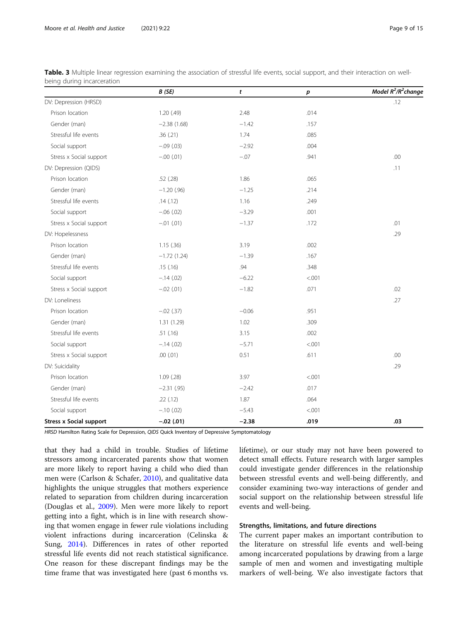|                                | B(SE)         | t       | р      | Model $R^2/R^2$ change |
|--------------------------------|---------------|---------|--------|------------------------|
| DV: Depression (HRSD)          |               |         |        | .12                    |
| Prison location                | 1.20(49)      | 2.48    | .014   |                        |
| Gender (man)                   | $-2.38(1.68)$ | $-1.42$ | .157   |                        |
| Stressful life events          | .36 (.21)     | 1.74    | .085   |                        |
| Social support                 | $-.09(.03)$   | $-2.92$ | .004   |                        |
| Stress x Social support        | $-.00(.01)$   | $-0.07$ | .941   | .00                    |
| DV: Depression (QIDS)          |               |         |        | .11                    |
| Prison location                | .52 (.28)     | 1.86    | .065   |                        |
| Gender (man)                   | $-1.20$ (.96) | $-1.25$ | .214   |                        |
| Stressful life events          | .14(.12)      | 1.16    | .249   |                        |
| Social support                 | $-.06(.02)$   | $-3.29$ | .001   |                        |
| Stress x Social support        | $-.01$ (.01)  | $-1.37$ | .172   | .01                    |
| DV: Hopelessness               |               |         |        | .29                    |
| Prison location                | 1.15(.36)     | 3.19    | .002   |                        |
| Gender (man)                   | $-1.72(1.24)$ | $-1.39$ | .167   |                        |
| Stressful life events          | .15(.16)      | .94     | .348   |                        |
| Social support                 | $-.14(.02)$   | $-6.22$ | < .001 |                        |
| Stress x Social support        | $-.02(.01)$   | $-1.82$ | .071   | .02                    |
| DV: Loneliness                 |               |         |        | .27                    |
| Prison location                | $-.02(.37)$   | $-0.06$ | .951   |                        |
| Gender (man)                   | 1.31 (1.29)   | 1.02    | .309   |                        |
| Stressful life events          | .51 (.16)     | 3.15    | .002   |                        |
| Social support                 | $-.14(.02)$   | $-5.71$ | < .001 |                        |
| Stress x Social support        | .00(01)       | 0.51    | .611   | .00                    |
| DV: Suicidality                |               |         |        | .29                    |
| Prison location                | $1.09$ (.28)  | 3.97    | < .001 |                        |
| Gender (man)                   | $-2.31(.95)$  | $-2.42$ | .017   |                        |
| Stressful life events          | .22(.12)      | 1.87    | .064   |                        |
| Social support                 | $-.10(.02)$   | $-5.43$ | < .001 |                        |
| <b>Stress x Social support</b> | $-.02(.01)$   | $-2.38$ | .019   | .03                    |

<span id="page-10-0"></span>Table. 3 Multiple linear regression examining the association of stressful life events, social support, and their interaction on wellbeing during incarceration

HRSD Hamilton Rating Scale for Depression, QIDS Quick Inventory of Depressive Symptomatology

that they had a child in trouble. Studies of lifetime stressors among incarcerated parents show that women are more likely to report having a child who died than men were (Carlson & Schafer, [2010](#page-14-0)), and qualitative data highlights the unique struggles that mothers experience related to separation from children during incarceration (Douglas et al., [2009](#page-14-0)). Men were more likely to report getting into a fight, which is in line with research showing that women engage in fewer rule violations including violent infractions during incarceration (Celinska & Sung, [2014\)](#page-14-0). Differences in rates of other reported stressful life events did not reach statistical significance. One reason for these discrepant findings may be the time frame that was investigated here (past 6 months vs.

lifetime), or our study may not have been powered to detect small effects. Future research with larger samples could investigate gender differences in the relationship between stressful events and well-being differently, and consider examining two-way interactions of gender and social support on the relationship between stressful life events and well-being.

#### Strengths, limitations, and future directions

The current paper makes an important contribution to the literature on stressful life events and well-being among incarcerated populations by drawing from a large sample of men and women and investigating multiple markers of well-being. We also investigate factors that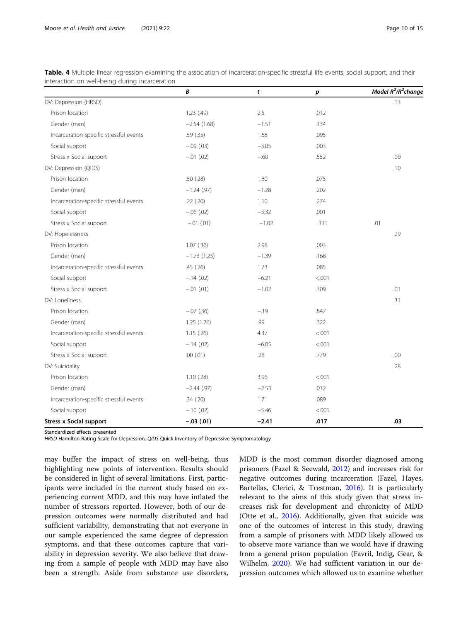|                                         | B              | t       | р       | Model $R^2/R^2$ change |
|-----------------------------------------|----------------|---------|---------|------------------------|
| DV: Depression (HRSD)                   |                |         |         | .13                    |
| Prison location                         | 1.23(49)       | 2.5     | .012    |                        |
| Gender (man)                            | $-2.54(1.68)$  | $-1.51$ | .134    |                        |
| Incarceration-specific stressful events | .59 (.35)      | 1.68    | .095    |                        |
| Social support                          | $-.09(.03)$    | $-3.05$ | .003    |                        |
| Stress x Social support                 | $-.01$ (.02)   | $-.60$  | .552    | .00                    |
| DV: Depression (QIDS)                   |                |         |         | .10                    |
| Prison location                         | .50(.28)       | 1.80    | .075    |                        |
| Gender (man)                            | $-1.24$ (.97)  | $-1.28$ | .202    |                        |
| Incarceration-specific stressful events | .22 (.20)      | 1.10    | .274    |                        |
| Social support                          | $-.06(.02)$    | $-3.32$ | .001    |                        |
| Stress x Social support                 | $-.01$ $(.01)$ | $-1.02$ | .311    | .01                    |
| DV: Hopelessness                        |                |         |         | .29                    |
| Prison location                         | $1.07$ $(.36)$ | 2.98    | .003    |                        |
| Gender (man)                            | $-1.73(1.25)$  | $-1.39$ | .168    |                        |
| Incarceration-specific stressful events | .45 (.26)      | 1.73    | .085    |                        |
| Social support                          | $-.14(.02)$    | $-6.21$ | < 0.001 |                        |
| Stress x Social support                 | $-.01$ $(.01)$ | $-1.02$ | .309    | .01                    |
| DV: Loneliness                          |                |         |         | .31                    |
| Prison location                         | $-.07(.36)$    | $-.19$  | .847    |                        |
| Gender (man)                            | 1.25 (1.26)    | .99     | .322    |                        |
| Incarceration-specific stressful events | 1.15(.26)      | 4.37    | < .001  |                        |
| Social support                          | $-.14(.02)$    | $-6.05$ | < .001  |                        |
| Stress x Social support                 | $.00$ $(.01)$  | .28     | .779    | .00                    |
| DV: Suicidality                         |                |         |         | .28                    |
| Prison location                         | 1.10(0.28)     | 3.96    | < .001  |                        |
| Gender (man)                            | $-2.44(.97)$   | $-2.53$ | .012    |                        |
| Incarceration-specific stressful events | .34(.20)       | 1.71    | .089    |                        |
| Social support                          | $-.10(.02)$    | $-5.46$ | < .001  |                        |
| <b>Stress x Social support</b>          | $-.03(.01)$    | $-2.41$ | .017    | .03                    |

<span id="page-11-0"></span>Table. 4 Multiple linear regression examining the association of incarceration-specific stressful life events, social support, and their interaction on well-being during incarceration

Standardized effects presented

HRSD Hamilton Rating Scale for Depression, QIDS Quick Inventory of Depressive Symptomatology

may buffer the impact of stress on well-being, thus highlighting new points of intervention. Results should be considered in light of several limitations. First, participants were included in the current study based on experiencing current MDD, and this may have inflated the number of stressors reported. However, both of our depression outcomes were normally distributed and had sufficient variability, demonstrating that not everyone in our sample experienced the same degree of depression symptoms, and that these outcomes capture that variability in depression severity. We also believe that drawing from a sample of people with MDD may have also been a strength. Aside from substance use disorders, MDD is the most common disorder diagnosed among prisoners (Fazel & Seewald, [2012](#page-14-0)) and increases risk for negative outcomes during incarceration (Fazel, Hayes, Bartellas, Clerici, & Trestman, [2016](#page-14-0)). It is particularly relevant to the aims of this study given that stress increases risk for development and chronicity of MDD (Otte et al., [2016](#page-15-0)). Additionally, given that suicide was one of the outcomes of interest in this study, drawing from a sample of prisoners with MDD likely allowed us to observe more variance than we would have if drawing from a general prison population (Favril, Indig, Gear, & Wilhelm, [2020](#page-14-0)). We had sufficient variation in our depression outcomes which allowed us to examine whether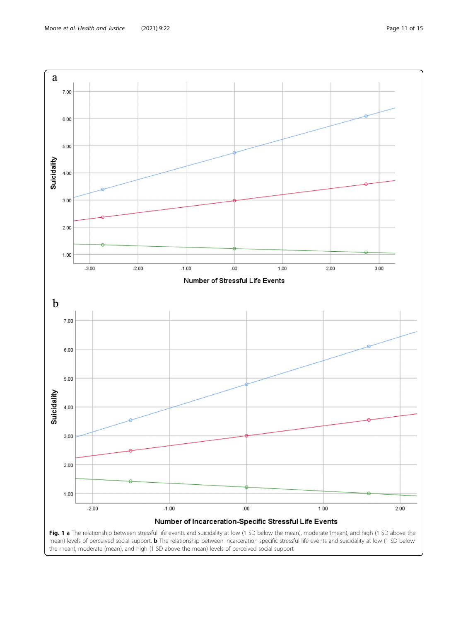<span id="page-12-0"></span>

the mean), moderate (mean), and high (1 SD above the mean) levels of perceived social support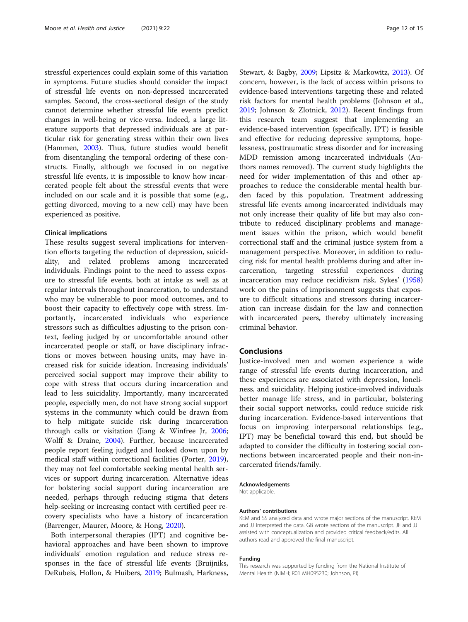stressful experiences could explain some of this variation in symptoms. Future studies should consider the impact of stressful life events on non-depressed incarcerated samples. Second, the cross-sectional design of the study cannot determine whether stressful life events predict changes in well-being or vice-versa. Indeed, a large literature supports that depressed individuals are at particular risk for generating stress within their own lives (Hammen, [2003\)](#page-14-0). Thus, future studies would benefit from disentangling the temporal ordering of these constructs. Finally, although we focused in on negative stressful life events, it is impossible to know how incarcerated people felt about the stressful events that were included on our scale and it is possible that some (e.g., getting divorced, moving to a new cell) may have been experienced as positive.

#### Clinical implications

These results suggest several implications for intervention efforts targeting the reduction of depression, suicidality, and related problems among incarcerated individuals. Findings point to the need to assess exposure to stressful life events, both at intake as well as at regular intervals throughout incarceration, to understand who may be vulnerable to poor mood outcomes, and to boost their capacity to effectively cope with stress. Importantly, incarcerated individuals who experience stressors such as difficulties adjusting to the prison context, feeling judged by or uncomfortable around other incarcerated people or staff, or have disciplinary infractions or moves between housing units, may have increased risk for suicide ideation. Increasing individuals' perceived social support may improve their ability to cope with stress that occurs during incarceration and lead to less suicidality. Importantly, many incarcerated people, especially men, do not have strong social support systems in the community which could be drawn from to help mitigate suicide risk during incarceration through calls or visitation (Jiang & Winfree Jr, [2006](#page-15-0); Wolff & Draine, [2004\)](#page-16-0). Further, because incarcerated people report feeling judged and looked down upon by medical staff within correctional facilities (Porter, [2019](#page-15-0)), they may not feel comfortable seeking mental health services or support during incarceration. Alternative ideas for bolstering social support during incarceration are needed, perhaps through reducing stigma that deters help-seeking or increasing contact with certified peer recovery specialists who have a history of incarceration (Barrenger, Maurer, Moore, & Hong, [2020\)](#page-14-0).

Both interpersonal therapies (IPT) and cognitive behavioral approaches and have been shown to improve individuals' emotion regulation and reduce stress responses in the face of stressful life events (Bruijniks, DeRubeis, Hollon, & Huibers, [2019;](#page-14-0) Bulmash, Harkness,

Stewart, & Bagby, [2009](#page-14-0); Lipsitz & Markowitz, [2013](#page-15-0)). Of concern, however, is the lack of access within prisons to evidence-based interventions targeting these and related risk factors for mental health problems (Johnson et al., [2019](#page-15-0); Johnson & Zlotnick, [2012](#page-15-0)). Recent findings from this research team suggest that implementing an evidence-based intervention (specifically, IPT) is feasible and effective for reducing depressive symptoms, hopelessness, posttraumatic stress disorder and for increasing MDD remission among incarcerated individuals (Authors names removed). The current study highlights the need for wider implementation of this and other approaches to reduce the considerable mental health burden faced by this population. Treatment addressing stressful life events among incarcerated individuals may not only increase their quality of life but may also contribute to reduced disciplinary problems and management issues within the prison, which would benefit correctional staff and the criminal justice system from a management perspective. Moreover, in addition to reducing risk for mental health problems during and after incarceration, targeting stressful experiences during incarceration may reduce recidivism risk. Sykes' ([1958](#page-15-0)) work on the pains of imprisonment suggests that exposure to difficult situations and stressors during incarceration can increase disdain for the law and connection with incarcerated peers, thereby ultimately increasing criminal behavior.

#### Conclusions

Justice-involved men and women experience a wide range of stressful life events during incarceration, and these experiences are associated with depression, loneliness, and suicidality. Helping justice-involved individuals better manage life stress, and in particular, bolstering their social support networks, could reduce suicide risk during incarceration. Evidence-based interventions that focus on improving interpersonal relationships (e.g., IPT) may be beneficial toward this end, but should be adapted to consider the difficulty in fostering social connections between incarcerated people and their non-incarcerated friends/family.

#### Acknowledgements

Not applicable.

#### Authors' contributions

KEM and SS analyzed data and wrote major sections of the manuscript. KEM and JJ interpreted the data. GB wrote sections of the manuscript. JF and JJ assisted with conceptualization and provided critical feedback/edits. All authors read and approved the final manuscript.

#### Funding

This research was supported by funding from the National Institute of Mental Health (NIMH; R01 MH095230; Johnson, PI).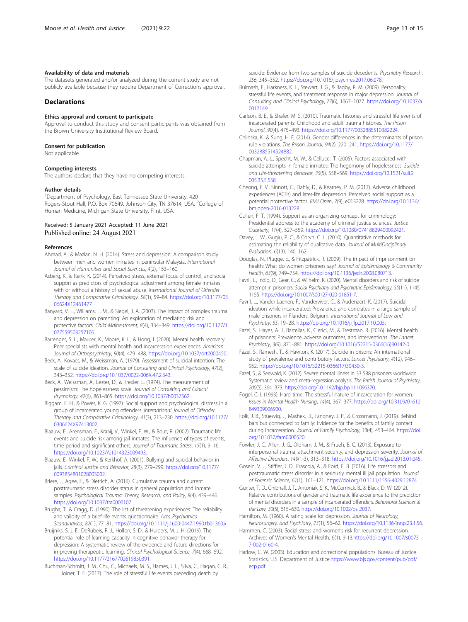#### <span id="page-14-0"></span>Availability of data and materials

The datasets generated and/or analyzed during the current study are not publicly available because they require Department of Corrections approval.

#### Declarations

#### Ethics approval and consent to participate

Approval to conduct this study and consent participants was obtained from the Brown University Institutional Review Board.

#### Consent for publication

Not applicable.

#### Competing interests

The authors declare that they have no competing interests.

#### Author details

<sup>1</sup>Department of Psychology, East Tennessee State University, 420 Rogers-Stout Hall, P.O. Box 70649, Johnson City, TN 37614, USA. <sup>2</sup>College of Human Medicine, Michigan State University, Flint, USA.

#### Received: 5 January 2021 Accepted: 11 June 2021 Published online: 24 August 2021

#### References

- Ahmad, A., & Mazlan, N. H. (2014). Stress and depression: A comparison study between men and women inmates in peninsular Malaysia. International Journal of Humanities and Social Sciences, 4(2), 153–160.
- Asberg, K., & Renk, K. (2014). Perceived stress, external locus of control, and social support as predictors of psychological adjustment among female inmates with or without a history of sexual abuse. International Journal of Offender Therapy and Comparative Criminology, 58(1), 59–84. [https://doi.org/10.1177/03](https://doi.org/10.1177/0306624X12461477) [06624X12461477.](https://doi.org/10.1177/0306624X12461477)
- Banyard, V. L., Williams, L. M., & Siegel, J. A. (2003). The impact of complex trauma and depression on parenting: An exploration of mediating risk and protective factors. Child Maltreatment, 8(4), 334–349. [https://doi.org/10.1177/1](https://doi.org/10.1177/1077559503257106) [077559503257106.](https://doi.org/10.1177/1077559503257106)
- Barrenger, S. L., Maurer, K., Moore, K. L., & Hong, I. (2020). Mental health recovery: Peer specialists with mental health and incarceration experiences. American Journal of Orthopsychiatry, 90(4), 479–488. <https://doi.org/10.1037/ort0000450>.
- Beck, A., Kovacs, M., & Weissman, A. (1979). Assessment of suicidal intention: The scale of suicide ideation. Journal of Consulting and Clinical Psychology, 47(2), 343–352. <https://doi.org/10.1037/0022-006X.47.2.343>.
- Beck, A., Weissman, A., Lester, D., & Trexler, L. (1974). The measurement of pessimism: The hopelessness scale. Journal of Consulting and Clinical Psychology, 42(6), 861–865. <https://doi.org/10.1037/h0037562>.
- Biggam, F. H., & Power, K. G. (1997). Social support and psychological distress in a group of incarcerated young offenders. International Journal of Offender Therapy and Comparative Criminology, 41(3), 213–230. [https://doi.org/10.1177/](https://doi.org/10.1177/0306624X97413002) [0306624X97413002.](https://doi.org/10.1177/0306624X97413002)
- Blaauw, E., Arensman, E., Kraaij, V., Winkel, F. W., & Bout, R. (2002). Traumatic life events and suicide risk among jail inmates: The influence of types of events, time period and significant others. Journal of Traumatic Stress, 15(1), 9–16. [https://doi.org/10.1023/A:1014323009493.](https://doi.org/10.1023/A:1014323009493)
- Blaauw, E., Winkel, F. W., & Kerkhof, A. (2001). Bullying and suicidal behavior in jails. Criminal Justice and Behavior, 28(3), 279–299. [https://doi.org/10.1177/](https://doi.org/10.1177/0093854801028003002) 0093854801028003002
- Briere, J., Agee, E., & Dietrich, A. (2016). Cumulative trauma and current posttraumatic stress disorder status in general population and inmate samples. Psychological Trauma: Theory, Research, and Policy, 8(4), 439–446. <https://doi.org/10.1037/tra0000107>.
- Brugha, T., & Cragg, D. (1990). The list of threatening experiences: The reliability and validity of a brief life events questionnaire. Acta Psychiatrica Scandinavica, 82(1), 77–81. <https://doi.org/10.1111/j.1600-0447.1990.tb01360.x>.
- Bruijniks, S. J. E., DeRubeis, R. J., Hollon, S. D., & Huibers, M. J. H. (2019). The potential role of learning capacity in cognitive behavior therapy for depression: A systematic review of the evidence and future directions for improving therapeutic learning. Clinical Psychological Science, 7(4), 668–692. <https://doi.org/10.1177/2167702619830391>.
- Buchman-Schmitt, J. M., Chu, C., Michaels, M. S., Hames, J. L., Silva, C., Hagan, C. R., … Joiner, T. E. (2017). The role of stressful life events preceding death by

suicide: Evidence from two samples of suicide decedents. Psychiatry Research, 256, 345–352. [https://doi.org/10.1016/j.psychres.2017.06.078.](https://doi.org/10.1016/j.psychres.2017.06.078)

- Bulmash, E., Harkness, K. L., Stewart, J. G., & Bagby, R. M. (2009). Personality, stressful life events, and treatment response in major depression. Journal of Consulting and Clinical Psychology, 77(6), 1067–1077. [https://doi.org/10.1037/a](https://doi.org/10.1037/a0017149) [0017149.](https://doi.org/10.1037/a0017149)
- Carlson, B. E., & Shafer, M. S. (2010). Traumatic histories and stressful life events of incarcerated parents: Childhood and adult trauma histories. The Prison Journal, 90(4), 475–493. <https://doi.org/10.1177/0032885510382224>.
- Celinska, K., & Sung, H. E. (2014). Gender differences in the determinants of prison rule violations. The Prison Journal, 94(2), 220–241. [https://doi.org/10.1177/](https://doi.org/10.1177/0032885514524882) [0032885514524882](https://doi.org/10.1177/0032885514524882).
- Chapman, A. L., Specht, M. W., & Cellucci, T. (2005). Factors associated with suicide attempts in female inmates: The hegemony of hopelessness. Suicide and Life-threatening Behavior, 35(5), 558–569. [https://doi.org/10.1521/suli.2](https://doi.org/10.1521/suli.2005.35.5.558) [005.35.5.558.](https://doi.org/10.1521/suli.2005.35.5.558)
- Cheong, E. V., Sinnott, C., Dahly, D., & Kearney, P. M. (2017). Adverse childhood experiences (ACEs) and later-life depression: Perceived social support as a potential protective factor. BMJ Open, 7(9), e013228. [https://doi.org/10.1136/](https://doi.org/10.1136/bmjopen-2016-013228) [bmjopen-2016-013228.](https://doi.org/10.1136/bmjopen-2016-013228)
- Cullen, F. T. (1994). Support as an organizing concept for criminology: Presidential address to the academy of criminal justice sciences. Justice Quarterly, 11(4), 527–559. [https://doi.org/10.1080/07418829400092421.](https://doi.org/10.1080/07418829400092421)
- Davey, J. W., Gugiu, P. C., & Coryn, C. L. (2010). Quantitative methods for estimating the reliability of qualitative data. Journal of MultiDisciplinary Evaluation, 6(13), 140–162.
- Douglas, N., Plugge, E., & Fitzpatrick, R. (2009). The impact of imprisonment on health: What do women prisoners say? Journal of Epidemiology & Community Health, 63(9), 749–754. [https://doi.org/10.1136/jech.2008.080713.](https://doi.org/10.1136/jech.2008.080713)
- Favril, L., Indig, D., Gear, C., & Wilhelm, K. (2020). Mental disorders and risk of suicide attempt in prisoners. Social Psychiatry and Psychiatric Epidemiology, 55(11), 1145– 1155. <https://doi.org/10.1007/s00127-020-01851-7>.
- Favril, L., Vander Laenen, F., Vanderviver, C., & Audenaert, K. (2017). Suicidal ideation while incarcerated: Prevalence and correlates in a large sample of male prisoners in Flanders, Belgium. International Journal of Law and Psychiatry, 55, 19–28. [https://doi.org/10.1016/j.ijlp.2017.10.005.](https://doi.org/10.1016/j.ijlp.2017.10.005)
- Fazel, S., Hayes, A. J., Bartellas, K., Clerici, M., & Trestman, R. (2016). Mental health of prisoners: Prevalence, adverse outcomes, and interventions. The Lancet Psychiatry, 3(9), 871–881. [https://doi.org/10.1016/S2215-0366\(16\)30142-0](https://doi.org/10.1016/S2215-0366(16)30142-0).
- Fazel, S., Ramesh, T., & Hawton, K. (2017). Suicide in prisons: An international study of prevalence and contributory factors. Lancet Psychiatry, 4(12), 946– 952. [https://doi.org/10.1016/S2215-0366\(17\)30430-3](https://doi.org/10.1016/S2215-0366(17)30430-3).
- Fazel, S., & Seewald, K. (2012). Severe mental illness in 33 588 prisoners worldwide: Systematic review and meta-regression analysis. The British Journal of Psychiatry, 200(5), 364–373. <https://doi.org/10.1192/bjp.bp.111.096370>.
- Fogel, C. I. (1993). Hard time: The stressful nature of incarceration for women. Issues in Mental Health Nursing, 14(4), 367–377. [https://doi.org/10.3109/01612](https://doi.org/10.3109/01612849309006900) [849309006900.](https://doi.org/10.3109/01612849309006900)
- Folk, J. B., Stuewig, J., Mashek, D., Tangney, J. P., & Grossmann, J. (2019). Behind bars but connected to family: Evidence for the benefits of family contact during incarceration. Journal of Family Psychology, 33(4), 453–464. [https://doi.](https://doi.org/10.1037/fam0000520) [org/10.1037/fam0000520.](https://doi.org/10.1037/fam0000520)
- Fowler, J. C., Allen, J. G., Oldham, J. M., & Frueh, B. C. (2013). Exposure to interpersonal trauma, attachment security, and depression severity. Journal of Affective Disorders, 149(1-3), 313–318. <https://doi.org/10.1016/j.jad.2013.01.045>.
- Gosein, V. J., Stiffler, J. D., Frascoia, A., & Ford, E. B. (2016). Life stressors and posttraumatic stress disorder in a seriously mental ill jail population. Journal of Forensic Science, 61(1), 161–121. [https://doi.org/10.1111/1556-4029.12874.](https://doi.org/10.1111/1556-4029.12874)
- Gunter, T. D., Chibnall, J. T., Antoniak, S. K., McCormick, B., & Black, D. W. (2012). Relative contributions of gender and traumatic life experience to the prediction of mental disorders in a sample of incarcerated offenders. Behavioral Sciences & the Law, 30(5), 615–630. [https://doi.org/10.1002/bsl.2037.](https://doi.org/10.1002/bsl.2037)
- Hamilton, M. (1960). A rating scale for depression. Journal of Neurology, Neurosurgery, and Psychiatry, 23(1), 56–62. <https://doi.org/10.1136/jnnp.23.1.56>.
- Hammen, C. (2003). Social stress and women's risk for recurrent depression. Archives of Women's Mental Health, 6(1), 9-13.[https://doi.org/10.1007/s0073](https://doi.org/10.1007/s00737-002-0160-4) [7-002-0160-4.](https://doi.org/10.1007/s00737-002-0160-4)
- Harlow, C. W. (2003). Education and correctional populations. Bureau of Justice Statistics, U.S. Department of Justice.[https://www.bjs.gov/content/pub/pdf/](https://www.bjs.gov/content/pub/pdf/ecp.pdf) [ecp.pdf.](https://www.bjs.gov/content/pub/pdf/ecp.pdf)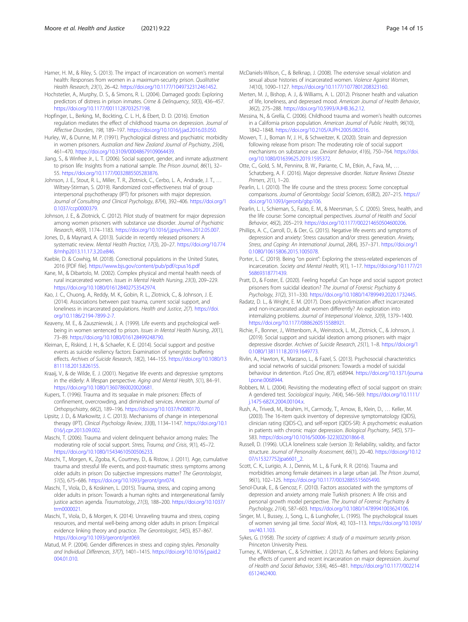<span id="page-15-0"></span>Harner, H. M., & Riley, S. (2013). The impact of incarceration on women's mental health: Responses from women in a maximum-security prison. Qualitative Health Research, 23(1), 26–42. <https://doi.org/10.1177/1049732312461452>.

- Hochstetler, A., Murphy, D. S., & Simons, R. L. (2004). Damaged goods: Exploring predictors of distress in prison inmates. Crime & Delinquency, 50(3), 436–457. <https://doi.org/10.1177/0011128703257198>.
- Hopfinger, L., Berking, M., Bockting, C. L. H., & Ebert, D. D. (2016). Emotion regulation mediates the effect of childhood trauma on depression. Journal of Affective Disorders, 198, 189–197. [https://doi.org/10.1016/j.jad.2016.03.050.](https://doi.org/10.1016/j.jad.2016.03.050)
- Hurley, W., & Dunne, M. P. (1991). Psychological distress and psychiatric morbidity in women prisoners. Australian and New Zealand Journal of Psychiatry, 25(4), 461–470. <https://doi.org/10.3109/00048679109064439>.
- Jiang, S., & Winfree Jr., L. T. (2006). Social support, gender, and inmate adjustment to prison life: Insights from a national sample. The Prison Journal, 86(1), 32– 55. [https://doi.org/10.1177/0032885505283876.](https://doi.org/10.1177/0032885505283876)
- Johnson, J. E., Stout, R. L., Miller, T. R., Zlotnick, C., Cerbo, L. A., Andrade, J. T., ... Wiltsey-Stirman, S. (2019). Randomized cost-effectiveness trial of group interpersonal psychotherapy (IPT) for prisoners with major depression. Journal of Consulting and Clinical Psychology, 87(4), 392–406. [https://doi.org/1](https://doi.org/10.1037/ccp0000379) [0.1037/ccp0000379](https://doi.org/10.1037/ccp0000379).
- Johnson, J. E., & Zlotnick, C. (2012). Pilot study of treatment for major depression among women prisoners with substance use disorder. Journal of Psychiatric Research, 46(9), 1174–1183. [https://doi.org/10.1016/j.jpsychires.2012.05.007.](https://doi.org/10.1016/j.jpsychires.2012.05.007)
- Jones, D., & Maynard, A. (2013). Suicide in recently released prisoners: A systematic review. Mental Health Practice, 17(3), 20–27. [https://doi.org/10.774](https://doi.org/10.7748/mhp2013.11.17.3.20.e846) [8/mhp2013.11.17.3.20.e846](https://doi.org/10.7748/mhp2013.11.17.3.20.e846).
- Kaeble, D. & Cowhig, M. (2018). Correctional populations in the United States, 2016 [PDF file]. <https://www.bjs.gov/content/pub/pdf/cpus16.pdf>
- Kane, M., & Dibartolo, M. (2002). Complex physical and mental health needs of rural incarcerated women. Issues in Mental Health Nursing, 23(3), 209–229. <https://doi.org/10.1080/016128402753542974>.
- Kao, J. C., Chuong, A., Reddy, M. K., Gobin, R. L., Zlotnick, C., & Johnson, J. E. (2014). Associations between past trauma, current social support, and loneliness in incarcerated populations. Health and Justice, 2(7). [https://doi.](https://doi.org/10.1186/2194-7899-2-7) [org/10.1186/2194-7899-2-7](https://doi.org/10.1186/2194-7899-2-7).
- Keaveny, M. E., & Zauszniewski, J. A. (1999). Life events and psychological wellbeing in women sentenced to prison. Issues in Mental Health Nursing, 20(1), 73–89. [https://doi.org/10.1080/016128499248790.](https://doi.org/10.1080/016128499248790)
- Kleiman, E., Riskind, J. H., & Schaefer, K. E. (2014). Social support and positive events as suicide resiliency factors: Examination of synergistic buffering effects. Archives of Suicide Research, 18(2), 144–155. [https://doi.org/10.1080/13](https://doi.org/10.1080/13811118.2013.826155) [811118.2013.826155.](https://doi.org/10.1080/13811118.2013.826155)
- Kraaij, V., & de Wilde, E. J. (2001). Negative life events and depressive symptoms in the elderly: A lifespan perspective. Aging and Mental Health, 5(1), 84–91. [https://doi.org/10.1080/13607860020020681.](https://doi.org/10.1080/13607860020020681)
- Kupers, T. (1996). Trauma and its sequalae in male prisoners: Effects of confinement, overcrowding, and diminished services. American Journal of Orthopsychiatry, 66(2), 189–196. <https://doi.org/10.1037/h0080170>.
- Lipsitz, J. D., & Markowitz, J. C. (2013). Mechanisms of change in interpersonal therapy (IPT). Clinical Psychology Review, 33(8), 1134–1147. [https://doi.org/10.1](https://doi.org/10.1016/j.cpr.2013.09.002) [016/j.cpr.2013.09.002](https://doi.org/10.1016/j.cpr.2013.09.002).
- Maschi, T. (2006). Trauma and violent delinquent behavior among males: The moderating role of social support. Stress, Trauma, and Crisis, 9(1), 45–72. [https://doi.org/10.1080/15434610500506233.](https://doi.org/10.1080/15434610500506233)
- Maschi, T., Morgen, K., Zgoba, K., Courtney, D., & Ristow, J. (2011). Age, cumulative trauma and stressful life events, and post-traumatic stress symptoms among older adults in prison: Do subjective impressions matter? The Gerontologist, 51(5), 675–686. [https://doi.org/10.1093/geront/gnr074.](https://doi.org/10.1093/geront/gnr074)
- Maschi, T., Viola, D., & Koskinen, L. (2015). Trauma, stress, and coping among older adults in prison: Towards a human rights and intergenerational family justice action agenda. Traumatology, 21(3), 188–200. [https://doi.org/10.1037/](https://doi.org/10.1037/trm0000021) [trm0000021.](https://doi.org/10.1037/trm0000021)
- Maschi, T., Viola, D., & Morgen, K. (2014). Unraveling trauma and stress, coping resources, and mental well-being among older adults in prison: Empirical evidence linking theory and practice. The Gerontologist, 54(5), 857–867. <https://doi.org/10.1093/geront/gnt069>.
- Matud, M. P. (2004). Gender differences in stress and coping styles. Personality and Individual Differences, 37(7), 1401–1415. [https://doi.org/10.1016/j.paid.2](https://doi.org/10.1016/j.paid.2004.01.010) [004.01.010](https://doi.org/10.1016/j.paid.2004.01.010).
- McDaniels-Wilson, C., & Belknap, J. (2008). The extensive sexual violation and sexual abuse histories of incarcerated women. Violence Against Women, 14(10), 1090–1127. <https://doi.org/10.1177/1077801208323160>.
- Merten, M. J., Bishop, A. J., & Williams, A. L. (2012). Prisoner health and valuation of life, loneliness, and depressed mood. American Journal of Health Behavior, 36(2), 275–288. [https://doi.org/10.5993/AJHB.36.2.12.](https://doi.org/10.5993/AJHB.36.2.12)
- Messina, N., & Grella, C. (2006). Childhood trauma and women's health outcomes in a California prison population. American Journal of Public Health, 96(10), 1842–1848. <https://doi.org/10.2105/AJPH.2005.082016>.
- Mowen, T. J., Boman IV, J. H., & Schweitzer, K. (2020). Strain and depression following release from prison: The moderating role of social support mechanisms on substance use. Deviant Behavior, 41(6), 750–764. [https://doi.](https://doi.org/10.1080/01639625.2019.1595372) [org/10.1080/01639625.2019.1595372](https://doi.org/10.1080/01639625.2019.1595372).
- Otte, C., Gold, S. M., Penninx, B. W., Pariante, C. M., Etkin, A., Fava, M., … Schatzberg, A. F. (2016). Major depressive disorder. Nature Reviews Disease Primers, 2(1), 1–20.
- Pearlin, L. I. (2010). The life course and the stress process: Some conceptual comparisons. Journal of Gerontology: Social Sciences, 65B(2), 207–215. [https://](https://doi.org/10.1093/geronb/gbp106) [doi.org/10.1093/geronb/gbp106](https://doi.org/10.1093/geronb/gbp106).
- Pearlin, L. I., Schieman, S., Fazio, E. M., & Meersman, S. C. (2005). Stress, health, and the life course: Some conceptual perspectives. Journal of Health and Social Behavior, 46(2), 205–219. [https://doi.org/10.1177/002214650504600206.](https://doi.org/10.1177/002214650504600206)
- Phillips, A. C., Carroll, D., & Der, G. (2015). Negative life events and symptoms of depression and anxiety: Stress causation and/or stress generation. Anxiety, Stress, and Coping: An International Journal, 28(4), 357–371. [https://doi.org/1](https://doi.org/10.1080/10615806.2015.1005078) [0.1080/10615806.2015.1005078.](https://doi.org/10.1080/10615806.2015.1005078)
- Porter, L. C. (2019). Being "on point": Exploring the stress-related experiences of incarceration. Society and Mental Health, 9(1), 1–17. [https://doi.org/10.1177/21](https://doi.org/10.1177/2156869318771439) [56869318771439](https://doi.org/10.1177/2156869318771439).
- Pratt, D., & Foster, E. (2020). Feeling hopeful: Can hope and social support protect prisoners from suicidal ideation? The Journal of Forensic Psychiatry & Psychology, 31(2), 311–330. [https://doi.org/10.1080/14789949.2020.1732445.](https://doi.org/10.1080/14789949.2020.1732445)
- Radatz, D. L., & Wright, E. M. (2017). Does polyvictimization affect incarcerated and non-incarcerated adult women differently? An exploration into internalizing problems. Journal of Interpersonal Violence, 32(9), 1379–1400. [https://doi.org/10.1177/0886260515588921.](https://doi.org/10.1177/0886260515588921)
- Richie, F., Bonner, J., Wittenborn, A., Weinstock, L. M., Zlotnick, C., & Johnson, J. (2019). Social support and suicidal ideation among prisoners with major depressive disorder. Archives of Suicide Research, 25(1), 1–8. [https://doi.org/1](https://doi.org/10.1080/13811118.2019.1649773) [0.1080/13811118.2019.1649773.](https://doi.org/10.1080/13811118.2019.1649773)
- Rivlin, A., Hawton, K., Marzano, L., & Fazel, S. (2013). Psychosocial characteristics and social networks of suicidal prisoners: Towards a model of suicidal behaviour in detention. PLoS One, 8(7), e68944. [https://doi.org/10.1371/journa](https://doi.org/10.1371/journal.pone.0068944) [l.pone.0068944](https://doi.org/10.1371/journal.pone.0068944).
- Robbers, M. L. (2004). Revisiting the moderating effect of social support on strain: A gendered test. Sociological Inquiry, 74(4), 546–569. [https://doi.org/10.1111/](https://doi.org/10.1111/j.1475-682X.2004.00104.x) [j.1475-682X.2004.00104.x.](https://doi.org/10.1111/j.1475-682X.2004.00104.x)
- Rush, A., Trivedi, M., Ibrahim, H., Carmody, T., Arnow, B., Klein, D., … Keller, M. (2003). The 16-item quick inventory of depressive symptomatology (QIDS), clinician rating (QIDS-C), and self-report (QIDS-SR): A psychometric evaluation in patients with chronic major depression. Biological Psychiatry, 54(5), 573– 583. [https://doi.org/10.1016/S0006-3223\(02\)01866-8](https://doi.org/10.1016/S0006-3223(02)01866-8).
- Russell, D. (1996). UCLA loneliness scale (version 3): Reliability, validity, and factor structure. Journal of Personality Assessment, 66(1), 20–40. [https://doi.org/10.12](https://doi.org/10.1207/s15327752jpa6601_2) [07/s15327752jpa6601\\_2](https://doi.org/10.1207/s15327752jpa6601_2).
- Scott, C. K., Lurigio, A. J., Dennis, M. L., & Funk, R. R. (2016). Trauma and morbidities among female detainees in a large urban jail. The Prison Journal, 96(1), 102–125. [https://doi.org/10.1177/0032885515605490.](https://doi.org/10.1177/0032885515605490)
- Senol-Durak, E., & Gencoz, F. (2010). Factors associated with the symptoms of depression and anxiety among male Turkish prisoners: A life crisis and personal growth model perspective. The Journal of Forensic Psychiatry & Psychology, 21(4), 587–603. [https://doi.org/10.1080/14789941003624106.](https://doi.org/10.1080/14789941003624106)
- Singer, M. I., Bussey, J., Song, L., & Lunghofer, L. (1995). The psychological issues of women serving jail time. Social Work, 40, 103–113. [https://doi.org/10.1093/](https://doi.org/10.1093/sw/40.1.103) [sw/40.1.103.](https://doi.org/10.1093/sw/40.1.103)
- Sykes, G. (1958). The society of captives: A study of a maximum security prison. Princeton University Press.
- Turney, K., Wildeman, C., & Schnittker, J. (2012). As fathers and felons: Explaining the effects of current and recent incarceration on major depression. Journal of Health and Social Behavior, 53(4), 465–481. [https://doi.org/10.1177/002214](https://doi.org/10.1177/0022146512462400) [6512462400.](https://doi.org/10.1177/0022146512462400)